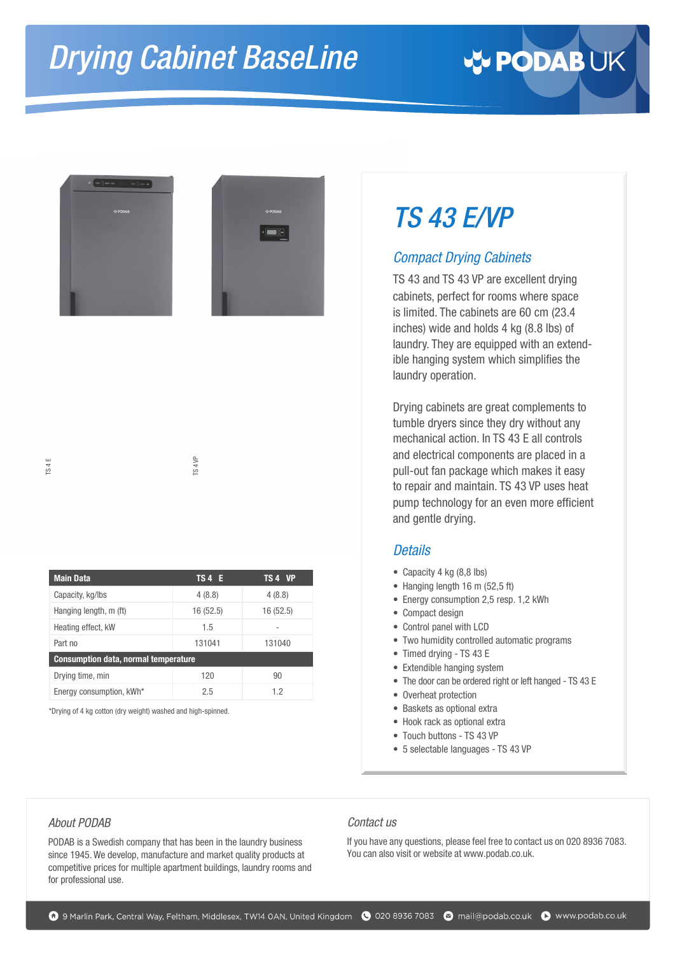# *TS 4*3 *E/VP*

### *Compact Drying Cabinets*

TS 43 and TS 43 VP are excellent drying cabinets, perfect for rooms where space is limited. The cabinets are 60 cm (23.4 inches) wide and holds 4 kg (8.8 lbs) of laundry. They are equipped with an extendible hanging system which simplifies the laundry operation.

Drying cabinets are great complements to tumble dryers since they dry without any mechanical action. In TS 43 E all controls and electrical components are placed in a pull-out fan package which makes it easy to repair and maintain. TS 43 VP uses heat pump technology for an even more efficient and gentle drying.

### *Details*

- Capacity 4 kg (8,8 lbs)
- Hanging length 16 m (52.5 ft)
- Energy consumption 2,5 resp. 1,2 kWh
- Compact design
- Control panel with LCD
- Two humidity controlled automatic programs
- Timed drying TS 43 E
- Extendible hanging system
- The door can be ordered right or left hanged TS 43 E
- Overheat protection
- Baskets as optional extra
- Hook rack as optional extra
- Touch buttons TS 43 VP
- 5 selectable languages TS 43 VP

Main Data<br>
Capacity, kg/lbs<br>
Hanging length, m (ft)<br>
Heating effect, kW<br>
Part no<br>
Consumption data, u<br>
Drying time, min<br>
Energy consumption,<br>
\*Drying of 4 kg cotton (dry<br>
About PODAB<br>
PODAB is a Swedish<br>
since 1945. We dev PODAB is a Swedish company that has been in the laundry business since 1945. We develop, manufacture and market quality products at competitive prices for multiple apartment buildings, laundry rooms and for professional use.

**Main Data TS 4 E TS 4 VP** Capacity, kg/lbs  $4 (8.8)$   $4 (8.8)$ Hanging length, m (ft) 16 (52.5) 16 (52.5)

TS 4 VP

Part no 131041 131040

Drving time, min 120 120 90 Energy consumption, kWh<sup>\*</sup> 2.5 2.5 1.2

Heating effect, kW 1.5

\*Drying of 4 kg cotton (dry weight) washed and high-spinned.

**Consumption data, normal temperature**

#### Contact us

If you have any questions, please feel free to contact us on 020 8936 7083. You can also visit or website at [www.podab.co.uk.](https://www.podab.co.uk)